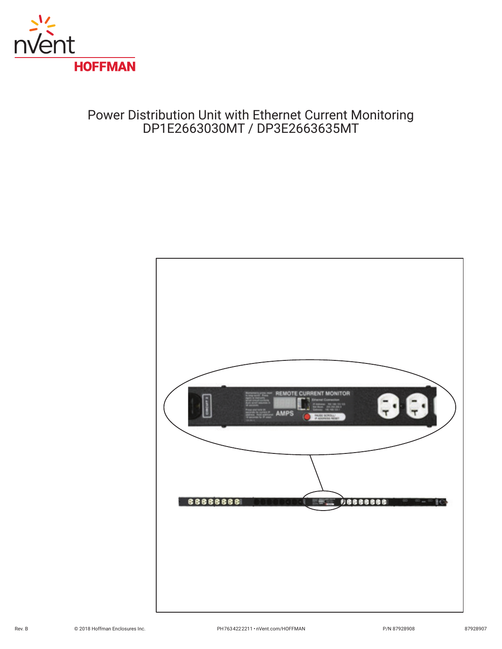

# Power Distribution Unit with Ethernet Current Monitoring DP1E2663030MT / DP3E2663635MT

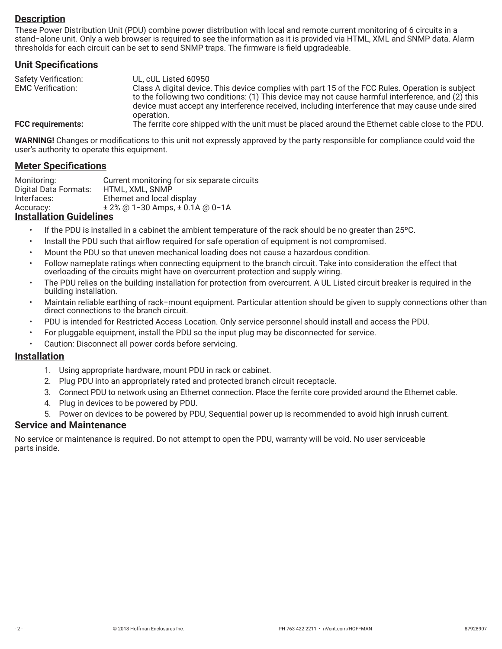## **Description**

These Power Distribution Unit (PDU) combine power distribution with local and remote current monitoring of 6 circuits in a stand−alone unit. Only a web browser is required to see the information as it is provided via HTML, XML and SNMP data. Alarm thresholds for each circuit can be set to send SNMP traps. The firmware is field upgradeable.

#### **Unit Specifications**

| <b>Safety Verification:</b> | UL, cUL Listed 60950                                                                                                                                                                                |
|-----------------------------|-----------------------------------------------------------------------------------------------------------------------------------------------------------------------------------------------------|
| <b>EMC Verification:</b>    | Class A digital device. This device complies with part 15 of the FCC Rules. Operation is subject                                                                                                    |
|                             | to the following two conditions: (1) This device may not cause harmful interference, and (2) this<br>device must accept any interference received, including interference that may cause unde sired |
|                             | operation.                                                                                                                                                                                          |
| <b>FCC requirements:</b>    | The ferrite core shipped with the unit must be placed around the Ethernet cable close to the PDU.                                                                                                   |

**WARNING!** Changes or modifications to this unit not expressly approved by the party responsible for compliance could void the user's authority to operate this equipment.

#### **Meter Specifications**

Monitoring: Current monitoring for six separate circuits<br>Digital Data Formats: HTML, XML, SNMP Digital Data Formats: Interfaces: Ethernet and local display Accuracy: ± 2% @ 1−30 Amps, ± 0.1A @ 0−1A

#### **Installation Guidelines**

- If the PDU is installed in a cabinet the ambient temperature of the rack should be no greater than 25ºC.
- Install the PDU such that airflow required for safe operation of equipment is not compromised.
- Mount the PDU so that uneven mechanical loading does not cause a hazardous condition.
- Follow nameplate ratings when connecting equipment to the branch circuit. Take into consideration the effect that overloading of the circuits might have on overcurrent protection and supply wiring.
- The PDU relies on the building installation for protection from overcurrent. A UL Listed circuit breaker is required in the building installation.
- Maintain reliable earthing of rack−mount equipment. Particular attention should be given to supply connections other than direct connections to the branch circuit.
- PDU is intended for Restricted Access Location. Only service personnel should install and access the PDU.
- For pluggable equipment, install the PDU so the input plug may be disconnected for service.
- Caution: Disconnect all power cords before servicing.

#### **Installation**

- 1. Using appropriate hardware, mount PDU in rack or cabinet.
- 2. Plug PDU into an appropriately rated and protected branch circuit receptacle.
- 3. Connect PDU to network using an Ethernet connection. Place the ferrite core provided around the Ethernet cable.
- 4. Plug in devices to be powered by PDU.
- 5. Power on devices to be powered by PDU, Sequential power up is recommended to avoid high inrush current.

#### **Service and Maintenance**

No service or maintenance is required. Do not attempt to open the PDU, warranty will be void. No user serviceable parts inside.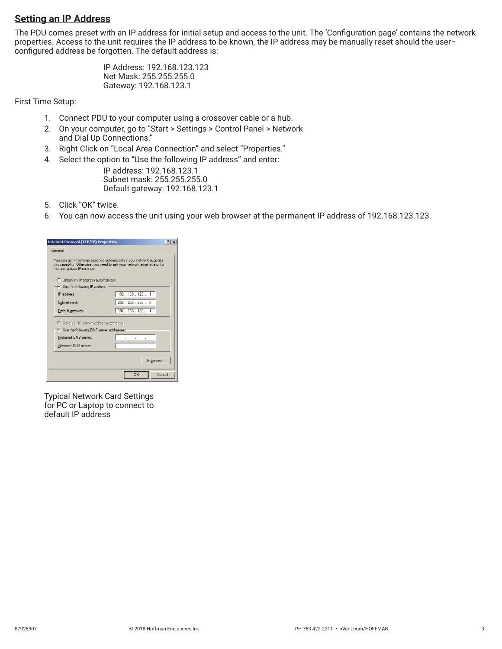## **Setting an IP Address**

The PDU comes preset with an IP address for initial setup and access to the unit. The 'Configuration page' contains the network properties. Access to the unit requires the IP address to be known, the IP address may be manually reset should the user− configured address be forgotten. The default address is:

> IP Address: 192.168.123.123 Net Mask: 255.255.255.0 Gateway: 192.168.123.1

First Time Setup:

- 1. Connect PDU to your computer using a crossover cable or a hub.
- 2. On your computer, go to "Start > Settings > Control Panel > Network and Dial Up Connections."
- 3. Right Click on "Local Area Connection" and select "Properties."
- 4. Select the option to "Use the following IP address" and enter:
	- IP address: 192.168.123.1 Subnet mask: 255.255.255.0 Default gateway: 192.168.123.1
- 5. Click "OK" twice.
- 6. You can now access the unit using your web browser at the permanent IP address of 192.168.123.123.

| <b>Internet Protocol (TCP/IP) Properties</b>                                                                                                                                          | $21 \times$         |
|---------------------------------------------------------------------------------------------------------------------------------------------------------------------------------------|---------------------|
| General                                                                                                                                                                               |                     |
| You can get IP settings assigned automatically if your network supports<br>this capability. Otherwise, you need to ask your network administrator for<br>the appropriate IP settings. |                     |
| C Obtain an IP address automatically                                                                                                                                                  |                     |
| <b>C</b> Use the following IP address:                                                                                                                                                |                     |
| IP address:                                                                                                                                                                           | 192 . 168 . 123 . 1 |
| Subnet mask:                                                                                                                                                                          | 255 . 255 . 255 . 0 |
| Default gateway:                                                                                                                                                                      | 192.168.123.1       |
| O Obtain DNS server address automatically                                                                                                                                             |                     |
| (C) Use the following DNS server addresses:                                                                                                                                           |                     |
| Preferred DNS server:                                                                                                                                                                 |                     |
| Altemate DNS server:                                                                                                                                                                  |                     |
|                                                                                                                                                                                       | Advanced            |
|                                                                                                                                                                                       | OK<br>Cancel        |

Typical Network Card Settings for PC or Laptop to connect to default IP address